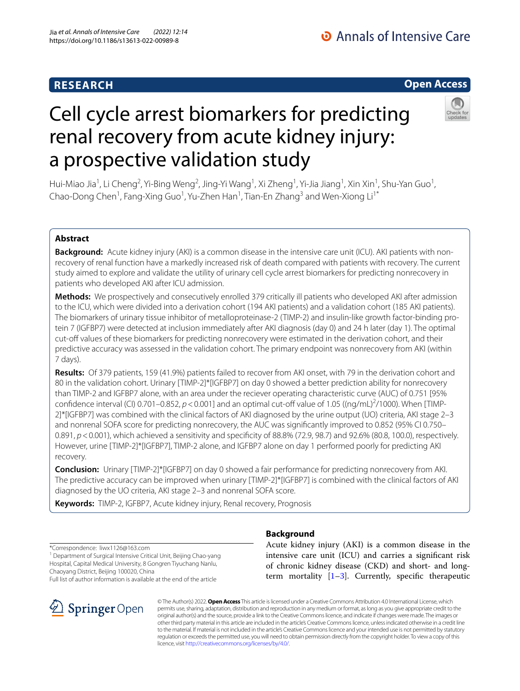# **RESEARCH**

# Cell cycle arrest biomarkers for predicting renal recovery from acute kidney injury: a prospective validation study

Hui-Miao Jia<sup>1</sup>, Li Cheng<sup>2</sup>, Yi-Bing Weng<sup>2</sup>, Jing-Yi Wang<sup>1</sup>, Xi Zheng<sup>1</sup>, Yi-Jia Jiang<sup>1</sup>, Xin Xin<sup>1</sup>, Shu-Yan Guo<sup>1</sup>, Chao-Dong Chen<sup>1</sup>, Fang-Xing Guo<sup>1</sup>, Yu-Zhen Han<sup>1</sup>, Tian-En Zhang<sup>3</sup> and Wen-Xiong Li<sup>1\*</sup>

# **Abstract**

**Background:** Acute kidney injury (AKI) is a common disease in the intensive care unit (ICU). AKI patients with nonrecovery of renal function have a markedly increased risk of death compared with patients with recovery. The current study aimed to explore and validate the utility of urinary cell cycle arrest biomarkers for predicting nonrecovery in patients who developed AKI after ICU admission.

**Methods:** We prospectively and consecutively enrolled 379 critically ill patients who developed AKI after admission to the ICU, which were divided into a derivation cohort (194 AKI patients) and a validation cohort (185 AKI patients). The biomarkers of urinary tissue inhibitor of metalloproteinase-2 (TIMP-2) and insulin-like growth factor-binding pro‑ tein 7 (IGFBP7) were detected at inclusion immediately after AKI diagnosis (day 0) and 24 h later (day 1). The optimal cut-off values of these biomarkers for predicting nonrecovery were estimated in the derivation cohort, and their predictive accuracy was assessed in the validation cohort. The primary endpoint was nonrecovery from AKI (within 7 days).

**Results:** Of 379 patients, 159 (41.9%) patients failed to recover from AKI onset, with 79 in the derivation cohort and 80 in the validation cohort. Urinary [TIMP-2]\*[IGFBP7] on day 0 showed a better prediction ability for nonrecovery than TIMP-2 and IGFBP7 alone, with an area under the reciever operating characteristic curve (AUC) of 0.751 [95% confidence interval (CI) 0.701–0.852,  $p < 0.001$ ] and an optimal cut-off value of 1.05 ((ng/mL)<sup>2</sup>/1000). When [TIMP-2]\*[IGFBP7] was combined with the clinical factors of AKI diagnosed by the urine output (UO) criteria, AKI stage 2–3 and nonrenal SOFA score for predicting nonrecovery, the AUC was signifcantly improved to 0.852 (95% CI 0.750– 0.891,  $p$  < 0.001), which achieved a sensitivity and specificity of 88.8% (72.9, 98.7) and 92.6% (80.8, 100.0), respectively. However, urine [TIMP-2]\*[IGFBP7], TIMP-2 alone, and IGFBP7 alone on day 1 performed poorly for predicting AKI recovery.

**Conclusion:** Urinary [TIMP-2]\*[IGFBP7] on day 0 showed a fair performance for predicting nonrecovery from AKI. The predictive accuracy can be improved when urinary [TIMP-2]\*[IGFBP7] is combined with the clinical factors of AKI diagnosed by the UO criteria, AKI stage 2–3 and nonrenal SOFA score.

**Keywords:** TIMP-2, IGFBP7, Acute kidney injury, Renal recovery, Prognosis

\*Correspondence: liwx1126@163.com

SpringerOpen

<sup>1</sup> Department of Surgical Intensive Critical Unit, Beijing Chao-yang Hospital, Capital Medical University, 8 Gongren Tiyuchang Nanlu, Chaoyang District, Beijing 100020, China

Full list of author information is available at the end of the article

# **Background**

Acute kidney injury (AKI) is a common disease in the intensive care unit (ICU) and carries a signifcant risk of chronic kidney disease (CKD) and short- and longterm mortality  $[1-3]$  $[1-3]$ . Currently, specific therapeutic

© The Author(s) 2022. **Open Access** This article is licensed under a Creative Commons Attribution 4.0 International License, which permits use, sharing, adaptation, distribution and reproduction in any medium or format, as long as you give appropriate credit to the original author(s) and the source, provide a link to the Creative Commons licence, and indicate if changes were made. The images or other third party material in this article are included in the article's Creative Commons licence, unless indicated otherwise in a credit line to the material. If material is not included in the article's Creative Commons licence and your intended use is not permitted by statutory regulation or exceeds the permitted use, you will need to obtain permission directly from the copyright holder. To view a copy of this licence, visit [http://creativecommons.org/licenses/by/4.0/.](http://creativecommons.org/licenses/by/4.0/)





**Open Access**

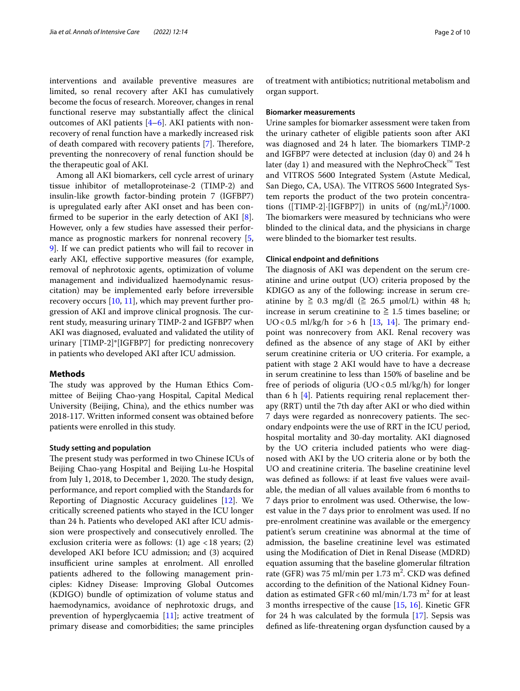interventions and available preventive measures are limited, so renal recovery after AKI has cumulatively become the focus of research. Moreover, changes in renal functional reserve may substantially afect the clinical outcomes of AKI patients  $[4-6]$  $[4-6]$  $[4-6]$ . AKI patients with nonrecovery of renal function have a markedly increased risk of death compared with recovery patients [\[7](#page-9-4)]. Therefore, preventing the nonrecovery of renal function should be the therapeutic goal of AKI.

Among all AKI biomarkers, cell cycle arrest of urinary tissue inhibitor of metalloproteinase-2 (TIMP-2) and insulin-like growth factor-binding protein 7 (IGFBP7) is upregulated early after AKI onset and has been confrmed to be superior in the early detection of AKI [\[8](#page-9-5)]. However, only a few studies have assessed their performance as prognostic markers for nonrenal recovery [\[5](#page-9-6), [9\]](#page-9-7). If we can predict patients who will fail to recover in early AKI, effective supportive measures (for example, removal of nephrotoxic agents, optimization of volume management and individualized haemodynamic resuscitation) may be implemented early before irreversible recovery occurs  $[10, 11]$  $[10, 11]$  $[10, 11]$  $[10, 11]$  $[10, 11]$ , which may prevent further progression of AKI and improve clinical prognosis. The current study, measuring urinary TIMP-2 and IGFBP7 when AKI was diagnosed, evaluated and validated the utility of urinary [TIMP-2]\*[IGFBP7] for predicting nonrecovery in patients who developed AKI after ICU admission.

#### **Methods**

The study was approved by the Human Ethics Committee of Beijing Chao-yang Hospital, Capital Medical University (Beijing, China), and the ethics number was 2018-117. Written informed consent was obtained before patients were enrolled in this study.

#### **Study setting and population**

The present study was performed in two Chinese ICUs of Beijing Chao-yang Hospital and Beijing Lu-he Hospital from July 1, 2018, to December 1, 2020. The study design, performance, and report complied with the Standards for Reporting of Diagnostic Accuracy guidelines [[12\]](#page-9-10). We critically screened patients who stayed in the ICU longer than 24 h. Patients who developed AKI after ICU admission were prospectively and consecutively enrolled. The exclusion criteria were as follows: (1) age  $<$  18 years; (2) developed AKI before ICU admission; and (3) acquired insufficient urine samples at enrolment. All enrolled patients adhered to the following management principles: Kidney Disease: Improving Global Outcomes (KDIGO) bundle of optimization of volume status and haemodynamics, avoidance of nephrotoxic drugs, and prevention of hyperglycaemia [[11\]](#page-9-9); active treatment of primary disease and comorbidities; the same principles of treatment with antibiotics; nutritional metabolism and organ support.

#### **Biomarker measurements**

Urine samples for biomarker assessment were taken from the urinary catheter of eligible patients soon after AKI was diagnosed and 24 h later. The biomarkers TIMP-2 and IGFBP7 were detected at inclusion (day 0) and 24 h later (day 1) and measured with the NephroCheck<sup>™</sup> Test and VITROS 5600 Integrated System (Astute Medical, San Diego, CA, USA). The VITROS 5600 Integrated System reports the product of the two protein concentrations ([TIMP-2] $\cdot$ [IGFBP7]) in units of  $(ng/mL)^2/1000$ . The biomarkers were measured by technicians who were blinded to the clinical data, and the physicians in charge were blinded to the biomarker test results.

#### **Clinical endpoint and defnitions**

The diagnosis of AKI was dependent on the serum creatinine and urine output (UO) criteria proposed by the KDIGO as any of the following: increase in serum creatinine by  $\geq 0.3$  mg/dl ( $\geq 26.5$   $\mu$ mol/L) within 48 h; increase in serum creatinine to  $\geq 1.5$  times baseline; or  $UO < 0.5$  ml/kg/h for  $> 6$  h [\[13](#page-9-11), [14\]](#page-9-12). The primary endpoint was nonrecovery from AKI. Renal recovery was defned as the absence of any stage of AKI by either serum creatinine criteria or UO criteria. For example, a patient with stage 2 AKI would have to have a decrease in serum creatinine to less than 150% of baseline and be free of periods of oliguria (UO<0.5 ml/kg/h) for longer than 6  $h$  [[4\]](#page-9-2). Patients requiring renal replacement therapy (RRT) until the 7th day after AKI or who died within 7 days were regarded as nonrecovery patients. The secondary endpoints were the use of RRT in the ICU period, hospital mortality and 30-day mortality. AKI diagnosed by the UO criteria included patients who were diagnosed with AKI by the UO criteria alone or by both the UO and creatinine criteria. The baseline creatinine level was defned as follows: if at least fve values were available, the median of all values available from 6 months to 7 days prior to enrolment was used. Otherwise, the lowest value in the 7 days prior to enrolment was used. If no pre-enrolment creatinine was available or the emergency patient's serum creatinine was abnormal at the time of admission, the baseline creatinine level was estimated using the Modifcation of Diet in Renal Disease (MDRD) equation assuming that the baseline glomerular fltration rate (GFR) was 75 ml/min per  $1.73 \text{ m}^2$ . CKD was defined according to the defnition of the National Kidney Foundation as estimated GFR < 60 ml/min/1.73 m<sup>2</sup> for at least 3 months irrespective of the cause [[15,](#page-9-13) [16\]](#page-9-14). Kinetic GFR for 24 h was calculated by the formula  $[17]$  $[17]$ . Sepsis was defned as life-threatening organ dysfunction caused by a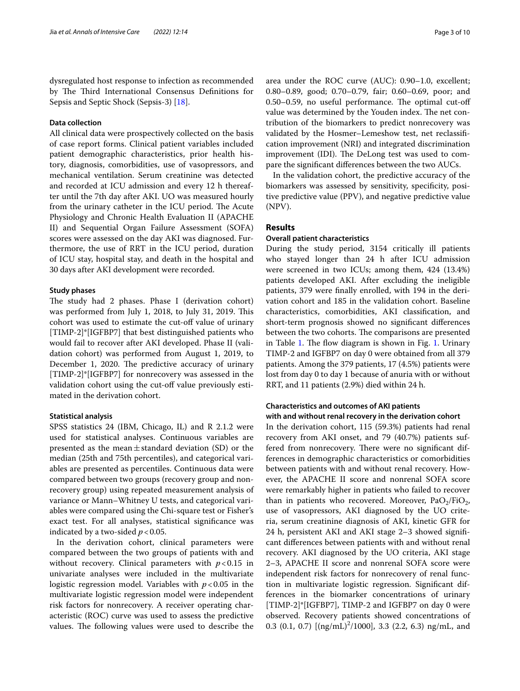dysregulated host response to infection as recommended by The Third International Consensus Definitions for Sepsis and Septic Shock (Sepsis-3) [\[18](#page-9-16)].

# **Data collection**

All clinical data were prospectively collected on the basis of case report forms. Clinical patient variables included patient demographic characteristics, prior health history, diagnosis, comorbidities, use of vasopressors, and mechanical ventilation. Serum creatinine was detected and recorded at ICU admission and every 12 h thereafter until the 7th day after AKI. UO was measured hourly from the urinary catheter in the ICU period. The Acute Physiology and Chronic Health Evaluation II (APACHE II) and Sequential Organ Failure Assessment (SOFA) scores were assessed on the day AKI was diagnosed. Furthermore, the use of RRT in the ICU period, duration of ICU stay, hospital stay, and death in the hospital and 30 days after AKI development were recorded.

#### **Study phases**

The study had 2 phases. Phase I (derivation cohort) was performed from July 1, 2018, to July 31, 2019. This cohort was used to estimate the cut-off value of urinary [TIMP-2]\*[IGFBP7] that best distinguished patients who would fail to recover after AKI developed. Phase II (validation cohort) was performed from August 1, 2019, to December 1, 2020. The predictive accuracy of urinary [TIMP-2]\*[IGFBP7] for nonrecovery was assessed in the validation cohort using the cut-off value previously estimated in the derivation cohort.

#### **Statistical analysis**

SPSS statistics 24 (IBM, Chicago, IL) and R 2.1.2 were used for statistical analyses. Continuous variables are presented as the mean $\pm$ standard deviation (SD) or the median (25th and 75th percentiles), and categorical variables are presented as percentiles. Continuous data were compared between two groups (recovery group and nonrecovery group) using repeated measurement analysis of variance or Mann–Whitney U tests, and categorical variables were compared using the Chi-square test or Fisher's exact test. For all analyses, statistical signifcance was indicated by a two-sided  $p < 0.05$ .

In the derivation cohort, clinical parameters were compared between the two groups of patients with and without recovery. Clinical parameters with  $p < 0.15$  in univariate analyses were included in the multivariate logistic regression model. Variables with  $p < 0.05$  in the multivariate logistic regression model were independent risk factors for nonrecovery. A receiver operating characteristic (ROC) curve was used to assess the predictive values. The following values were used to describe the area under the ROC curve (AUC): 0.90–1.0, excellent; 0.80–0.89, good; 0.70–0.79, fair; 0.60–0.69, poor; and  $0.50-0.59$ , no useful performance. The optimal cut-off value was determined by the Youden index. The net contribution of the biomarkers to predict nonrecovery was validated by the Hosmer–Lemeshow test, net reclassifcation improvement (NRI) and integrated discrimination improvement (IDI). The DeLong test was used to compare the signifcant diferences between the two AUCs.

In the validation cohort, the predictive accuracy of the biomarkers was assessed by sensitivity, specifcity, positive predictive value (PPV), and negative predictive value (NPV).

### **Results**

#### **Overall patient characteristics**

During the study period, 3154 critically ill patients who stayed longer than 24 h after ICU admission were screened in two ICUs; among them, 424 (13.4%) patients developed AKI. After excluding the ineligible patients, 379 were fnally enrolled, with 194 in the derivation cohort and 185 in the validation cohort. Baseline characteristics, comorbidities, AKI classifcation, and short-term prognosis showed no signifcant diferences between the two cohorts. The comparisons are presented in Table [1](#page-4-0). The flow diagram is shown in Fig. 1. Urinary TIMP-2 and IGFBP7 on day 0 were obtained from all 379 patients. Among the 379 patients, 17 (4.5%) patients were lost from day 0 to day 1 because of anuria with or without RRT, and 11 patients (2.9%) died within 24 h.

# **Characteristics and outcomes of AKI patients with and without renal recovery in the derivation cohort**

In the derivation cohort, 115 (59.3%) patients had renal recovery from AKI onset, and 79 (40.7%) patients suffered from nonrecovery. There were no significant differences in demographic characteristics or comorbidities between patients with and without renal recovery. However, the APACHE II score and nonrenal SOFA score were remarkably higher in patients who failed to recover than in patients who recovered. Moreover,  $PaO<sub>2</sub>/FiO<sub>2</sub>$ , use of vasopressors, AKI diagnosed by the UO criteria, serum creatinine diagnosis of AKI, kinetic GFR for 24 h, persistent AKI and AKI stage 2–3 showed signifcant diferences between patients with and without renal recovery. AKI diagnosed by the UO criteria, AKI stage 2–3, APACHE II score and nonrenal SOFA score were independent risk factors for nonrecovery of renal function in multivariate logistic regression. Signifcant differences in the biomarker concentrations of urinary [TIMP-2]\*[IGFBP7], TIMP-2 and IGFBP7 on day 0 were observed. Recovery patients showed concentrations of 0.3 (0.1, 0.7)  $[(ng/mL)^{2}/1000]$ , 3.3 (2.2, 6.3) ng/mL, and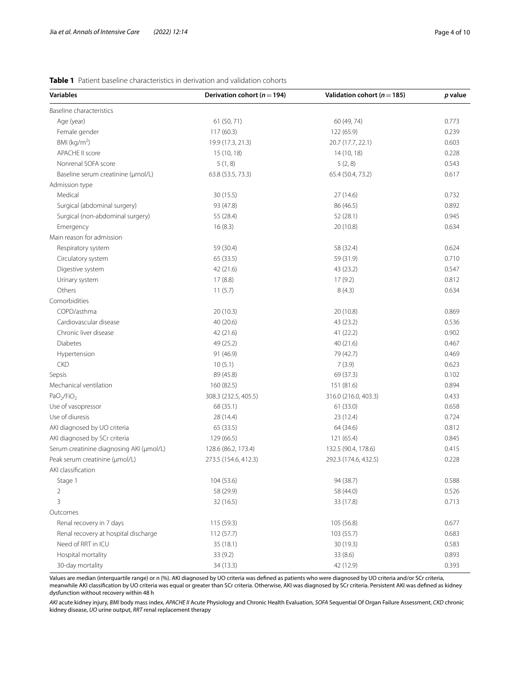| <b>Variables</b>                         | Derivation cohort ( $n = 194$ ) | Validation cohort ( $n = 185$ ) | p value |  |
|------------------------------------------|---------------------------------|---------------------------------|---------|--|
| Baseline characteristics                 |                                 |                                 |         |  |
| Age (year)                               | 61 (50, 71)                     | 60 (49, 74)                     | 0.773   |  |
| Female gender                            | 117(60.3)                       | 122 (65.9)                      | 0.239   |  |
| BMI ( $kg/m2$ )                          | 19.9 (17.3, 21.3)               | 20.7 (17.7, 22.1)               | 0.603   |  |
| APACHE II score                          | 15 (10, 18)                     | 14 (10, 18)                     | 0.228   |  |
| Nonrenal SOFA score                      | 5(1, 8)                         | 5(2, 8)                         | 0.543   |  |
| Baseline serum creatinine (µmol/L)       | 63.8 (53.5, 73.3)               | 65.4 (50.4, 73.2)               | 0.617   |  |
| Admission type                           |                                 |                                 |         |  |
| Medical                                  | 30 (15.5)                       | 27 (14.6)                       | 0.732   |  |
| Surgical (abdominal surgery)             | 93 (47.8)                       | 86 (46.5)                       | 0.892   |  |
| Surgical (non-abdominal surgery)         | 55 (28.4)                       | 52 (28.1)                       | 0.945   |  |
| Emergency                                | 16(8.3)                         | 20 (10.8)                       | 0.634   |  |
| Main reason for admission                |                                 |                                 |         |  |
| Respiratory system                       | 59 (30.4)                       | 58 (32.4)                       | 0.624   |  |
| Circulatory system                       | 65 (33.5)                       | 59 (31.9)                       | 0.710   |  |
| Digestive system                         | 42 (21.6)                       | 43 (23.2)                       | 0.547   |  |
| Urinary system                           | 17(8.8)                         | 17(9.2)                         | 0.812   |  |
| Others                                   | 11(5.7)                         | 8(4.3)                          | 0.634   |  |
| Comorbidities                            |                                 |                                 |         |  |
| COPD/asthma                              | 20(10.3)                        | 20 (10.8)                       | 0.869   |  |
| Cardiovascular disease                   | 40 (20.6)                       | 43 (23.2)                       | 0.536   |  |
| Chronic liver disease                    | 42 (21.6)                       | 41 (22.2)                       | 0.902   |  |
| Diabetes                                 | 49 (25.2)                       | 40 (21.6)                       | 0.467   |  |
| Hypertension                             | 91 (46.9)                       | 79 (42.7)                       | 0.469   |  |
| <b>CKD</b>                               | 10(5.1)                         | 7(3.9)                          | 0.623   |  |
| Sepsis                                   | 89 (45.8)                       | 69 (37.3)                       | 0.102   |  |
| Mechanical ventilation                   | 160 (82.5)                      | 151 (81.6)                      | 0.894   |  |
| PaO <sub>2</sub> /FiO <sub>2</sub>       | 308.3 (232.5, 405.5)            | 316.0 (216.0, 403.3)            | 0.433   |  |
| Use of vasopressor                       | 68 (35.1)                       | 61 (33.0)                       | 0.658   |  |
| Use of diuresis                          | 28 (14.4)                       | 23 (12.4)                       | 0.724   |  |
| AKI diagnosed by UO criteria             | 65 (33.5)                       | 64 (34.6)                       | 0.812   |  |
| AKI diagnosed by SCr criteria            | 129(66.5)                       | 121 (65.4)                      | 0.845   |  |
| Serum creatinine diagnosing AKI (µmol/L) | 128.6 (86.2, 173.4)             | 132.5 (90.4, 178.6)             | 0.415   |  |
| Peak serum creatinine (µmol/L)           | 273.5 (154.6, 412.3)            | 292.3 (174.6, 432.5)            | 0.228   |  |
| AKI classification                       |                                 |                                 |         |  |
| Stage 1                                  | 104 (53.6)                      | 94 (38.7)                       | 0.588   |  |
| 2                                        | 58 (29.9)                       | 58 (44.0)                       | 0.526   |  |
| 3                                        | 32(16.5)                        | 33 (17.8)                       | 0.713   |  |
| Outcomes                                 |                                 |                                 |         |  |
| Renal recovery in 7 days                 | 115 (59.3)                      | 105 (56.8)                      | 0.677   |  |
| Renal recovery at hospital discharge     | 112(57.7)                       | 103(55.7)                       | 0.683   |  |
| Need of RRT in ICU<br>35(18.1)           |                                 | 0.583<br>30 (19.3)              |         |  |
| Hospital mortality<br>33(9.2)            |                                 | 0.893<br>33(8.6)                |         |  |
| 30-day mortality                         | 34(13.3)                        | 42 (12.9)                       | 0.393   |  |

#### <span id="page-3-0"></span>**Table 1** Patient baseline characteristics in derivation and validation cohorts

Values are median (interquartile range) or n (%). AKI diagnosed by UO criteria was defned as patients who were diagnosed by UO criteria and/or SCr criteria, meanwhile AKI classifcation by UO criteria was equal or greater than SCr criteria. Otherwise, AKI was diagnosed by SCr criteria. Persistent AKI was defned as kidney dysfunction without recovery within 48 h

*AKI* acute kidney injury, *BMI* body mass index, *APACHE II* Acute Physiology and Chronic Health Evaluation, *SOFA* Sequential Of Organ Failure Assessment, *CKD* chronic kidney disease, *UO* urine output, *RRT* renal replacement therapy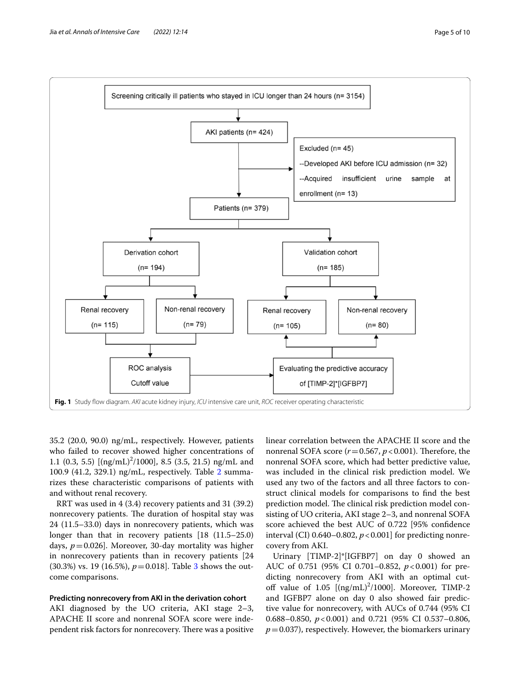

<span id="page-4-0"></span>35.2 (20.0, 90.0) ng/mL, respectively. However, patients who failed to recover showed higher concentrations of 1.1 (0.3, 5.5)  $[(ng/mL)^{2}/1000]$ , 8.5 (3.5, 21.5) ng/mL and 100.9 (41.2, 329.1) ng/mL, respectively. Table [2](#page-5-0) summarizes these characteristic comparisons of patients with and without renal recovery.

RRT was used in 4 (3.4) recovery patients and 31 (39.2) nonrecovery patients. The duration of hospital stay was 24 (11.5–33.0) days in nonrecovery patients, which was longer than that in recovery patients [18 (11.5–25.0) days, *p*=0.026]. Moreover, 30-day mortality was higher in nonrecovery patients than in recovery patients [24 (30.3%) vs. 19 (16.5%), *p*=0.018]. Table [3](#page-6-0) shows the outcome comparisons.

#### **Predicting nonrecovery from AKI in the derivation cohort**

AKI diagnosed by the UO criteria, AKI stage 2–3, APACHE II score and nonrenal SOFA score were independent risk factors for nonrecovery. There was a positive linear correlation between the APACHE II score and the nonrenal SOFA score  $(r=0.567, p<0.001)$ . Therefore, the nonrenal SOFA score, which had better predictive value, was included in the clinical risk prediction model. We used any two of the factors and all three factors to construct clinical models for comparisons to fnd the best prediction model. The clinical risk prediction model consisting of UO criteria, AKI stage 2–3, and nonrenal SOFA score achieved the best AUC of 0.722 [95% confdence interval (CI)  $0.640 - 0.802$ ,  $p < 0.001$  for predicting nonrecovery from AKI.

Urinary [TIMP-2]\*[IGFBP7] on day 0 showed an AUC of 0.751 (95% CI 0.701-0.852,  $p < 0.001$ ) for predicting nonrecovery from AKI with an optimal cutoff value of  $1.05$  [(ng/mL)<sup>2</sup>/1000]. Moreover, TIMP-2 and IGFBP7 alone on day 0 also showed fair predictive value for nonrecovery, with AUCs of 0.744 (95% CI 0.688–0.850, *p*<0.001) and 0.721 (95% CI 0.537–0.806,  $p=0.037$ ), respectively. However, the biomarkers urinary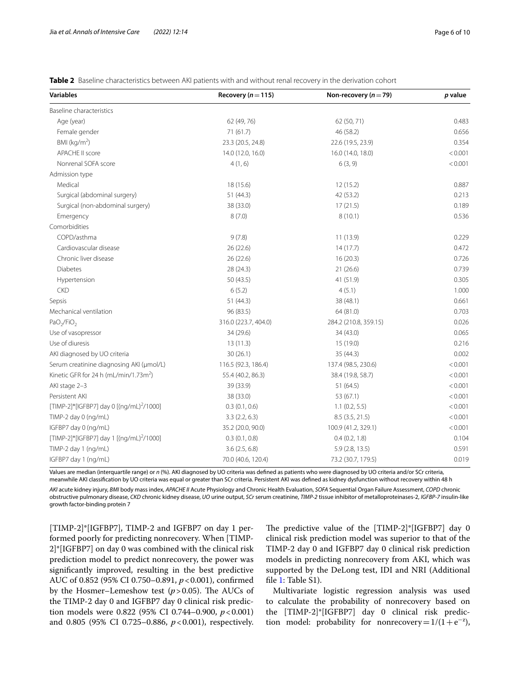| <b>Variables</b>                                     | Recovery ( $n = 115$ ) | Non-recovery ( $n = 79$ ) | p value |
|------------------------------------------------------|------------------------|---------------------------|---------|
| Baseline characteristics                             |                        |                           |         |
| Age (year)                                           | 62 (49, 76)            | 62 (50, 71)               | 0.483   |
| Female gender                                        | 71(61.7)               | 46 (58.2)                 | 0.656   |
| BMI ( $kg/m2$ )                                      | 23.3 (20.5, 24.8)      | 22.6 (19.5, 23.9)         | 0.354   |
| APACHE II score                                      | 14.0 (12.0, 16.0)      | 16.0 (14.0, 18.0)         | < 0.001 |
| Nonrenal SOFA score                                  | 4(1, 6)                | 6(3, 9)                   | < 0.001 |
| Admission type                                       |                        |                           |         |
| Medical                                              | 18 (15.6)              | 12(15.2)                  | 0.887   |
| Surgical (abdominal surgery)                         | 51(44.3)               | 42 (53.2)                 | 0.213   |
| Surgical (non-abdominal surgery)                     | 38 (33.0)              | 17(21.5)                  | 0.189   |
| Emergency                                            | 8(7.0)                 | 8(10.1)                   | 0.536   |
| Comorbidities                                        |                        |                           |         |
| COPD/asthma                                          | 9(7.8)                 | 11(13.9)                  | 0.229   |
| Cardiovascular disease                               | 26(22.6)               | 14(17.7)                  | 0.472   |
| Chronic liver disease                                | 26(22.6)               | 16(20.3)                  | 0.726   |
| Diabetes                                             | 28 (24.3)              | 21(26.6)                  | 0.739   |
| Hypertension                                         | 50(43.5)               | 41 (51.9)                 | 0.305   |
| <b>CKD</b>                                           | 6(5.2)                 | 4(5.1)                    | 1.000   |
| Sepsis                                               | 51(44.3)               | 38 (48.1)                 | 0.661   |
| Mechanical ventilation                               | 96 (83.5)              | 64 (81.0)                 | 0.703   |
| PaO <sub>2</sub> /FiO <sub>2</sub>                   | 316.0 (223.7, 404.0)   | 284.2 (210.8, 359.15)     | 0.026   |
| Use of vasopressor                                   | 34 (29.6)              | 34 (43.0)                 | 0.065   |
| Use of diuresis                                      | 13(11.3)               | 15 (19.0)                 | 0.216   |
| AKI diagnosed by UO criteria                         | 30(26.1)               | 35 (44.3)                 | 0.002   |
| Serum creatinine diagnosing AKI (µmol/L)             | 116.5 (92.3, 186.4)    | 137.4 (98.5, 230.6)       | < 0.001 |
| Kinetic GFR for 24 h (mL/min/1.73m <sup>2</sup> )    | 55.4 (40.2, 86.3)      | 38.4 (19.8, 58.7)         | < 0.001 |
| AKI stage 2-3                                        | 39 (33.9)              | 51(64.5)                  | < 0.001 |
| Persistent AKI                                       | 38 (33.0)              | 53 (67.1)                 | < 0.001 |
| [TIMP-2]*[IGFBP7] day 0 [(ng/mL) <sup>2</sup> /1000] | 0.3(0.1, 0.6)          | 1.1(0.2, 5.5)             | < 0.001 |
| TIMP-2 day 0 (ng/mL)                                 | 3.3(2.2, 6.3)          | 8.5 (3.5, 21.5)           | < 0.001 |
| IGFBP7 day 0 (ng/mL)                                 | 35.2 (20.0, 90.0)      | 100.9 (41.2, 329.1)       | < 0.001 |
| [TIMP-2]*[IGFBP7] day 1 [(ng/mL) <sup>2</sup> /1000] | 0.3(0.1, 0.8)          | 0.4(0.2, 1.8)             | 0.104   |
| TIMP-2 day 1 (ng/mL)                                 | 3.6(2.5, 6.8)          | 5.9(2.8, 13.5)            | 0.591   |
| IGFBP7 day 1 (ng/mL)                                 | 70.0 (40.6, 120.4)     | 73.2 (30.7, 179.5)        | 0.019   |

<span id="page-5-0"></span>**Table 2** Baseline characteristics between AKI patients with and without renal recovery in the derivation cohort

Values are median (interquartile range) or *n* (%). AKI diagnosed by UO criteria was defned as patients who were diagnosed by UO criteria and/or SCr criteria, meanwhile AKI classifcation by UO criteria was equal or greater than SCr criteria. Persistent AKI was defned as kidney dysfunction without recovery within 48 h

*AKI* acute kidney injury, *BMI* body mass index, *APACHE II* Acute Physiology and Chronic Health Evaluation, *SOFA* Sequential Organ Failure Assessment, *COPD* chronic obstructive pulmonary disease, *CKD* chronic kidney disease, *UO* urine output, *SCr* serum creatinine, *TIMP-2* tissue inhibitor of metalloproteinases-2, *IGFBP-7* insulin-like growth factor-binding protein 7

[TIMP-2]\*[IGFBP7], TIMP-2 and IGFBP7 on day 1 performed poorly for predicting nonrecovery. When [TIMP-2]\*[IGFBP7] on day 0 was combined with the clinical risk prediction model to predict nonrecovery, the power was signifcantly improved, resulting in the best predictive AUC of 0.852 (95% CI 0.750–0.891, *p*<0.001), confrmed by the Hosmer–Lemeshow test  $(p>0.05)$ . The AUCs of the TIMP-2 day 0 and IGFBP7 day 0 clinical risk prediction models were 0.822 (95% CI 0.744–0.900,  $p < 0.001$ ) and 0.805 (95% CI 0.725–0.886,  $p < 0.001$ ), respectively.

The predictive value of the [TIMP-2]\*[IGFBP7] day 0 clinical risk prediction model was superior to that of the TIMP-2 day 0 and IGFBP7 day 0 clinical risk prediction models in predicting nonrecovery from AKI, which was supported by the DeLong test, IDI and NRI (Additional file [1](#page-8-0): Table S1).

Multivariate logistic regression analysis was used to calculate the probability of nonrecovery based on the [TIMP-2]\*[IGFBP7] day 0 clinical risk prediction model: probability for nonrecovery =  $1/(1 + e^{-z})$ ,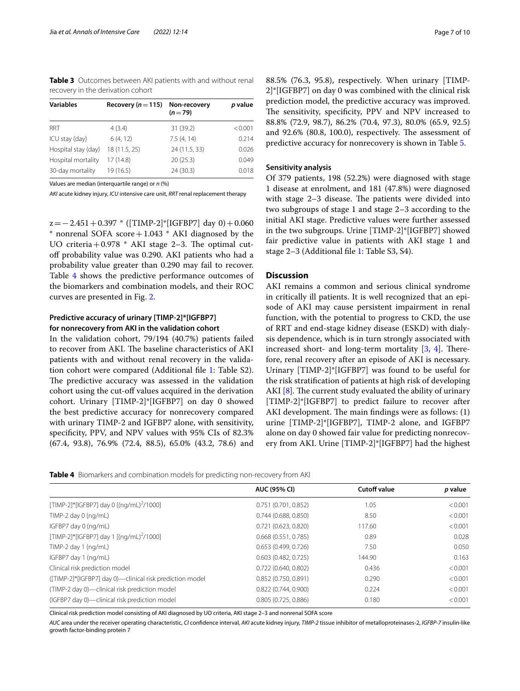<span id="page-6-0"></span>**Table 3** Outcomes between AKI patients with and without renal recovery in the derivation cohort

| <b>Variables</b>    | Recovery ( $n = 115$ ) | Non-recovery<br>$(n=79)$ | p value |
|---------------------|------------------------|--------------------------|---------|
| RRT                 | 4(3.4)                 | 31 (39.2)                | < 0.001 |
| ICU stay (day)      | 6(4, 12)               | 7.5(4, 14)               | 0.214   |
| Hospital stay (day) | 18 (11.5, 25)          | 24 (11.5, 33)            | 0.026   |
| Hospital mortality  | 17(14.8)               | 20(25.3)                 | 0.049   |
| 30-day mortality    | 19(16.5)               | 24 (30.3)                | 0.018   |

Values are median (interquartile range) or *n* (%)

*AKI* acute kidney injury, *ICU* intensive care unit, *RRT* renal replacement therapy

 $z=-2.451+0.397$  \* ([TIMP-2]\*[IGFBP7] day 0) + 0.060  $*$  nonrenal SOFA score + 1.043  $*$  AKI diagnosed by the UO criteria +  $0.978$  \* AKI stage 2-3. The optimal cutoff probability value was 0.290. AKI patients who had a probability value greater than 0.290 may fail to recover. Table [4](#page-6-1) shows the predictive performance outcomes of the biomarkers and combination models, and their ROC curves are presented in Fig. [2.](#page-7-0)

# **Predictive accuracy of urinary [TIMP-2]\*[IGFBP7] for nonrecovery from AKI in the validation cohort**

In the validation cohort, 79/194 (40.7%) patients failed to recover from AKI. The baseline characteristics of AKI patients with and without renal recovery in the validation cohort were compared (Additional fle [1](#page-8-0): Table S2). The predictive accuracy was assessed in the validation cohort using the cut-of values acquired in the derivation cohort. Urinary [TIMP-2]\*[IGFBP7] on day 0 showed the best predictive accuracy for nonrecovery compared with urinary TIMP-2 and IGFBP7 alone, with sensitivity, specifcity, PPV, and NPV values with 95% CIs of 82.3% (67.4, 93.8), 76.9% (72.4, 88.5), 65.0% (43.2, 78.6) and 88.5% (76.3, 95.8), respectively. When urinary [TIMP-2]\*[IGFBP7] on day 0 was combined with the clinical risk prediction model, the predictive accuracy was improved. The sensitivity, specificity, PPV and NPV increased to 88.8% (72.9, 98.7), 86.2% (70.4, 97.3), 80.0% (65.9, 92.5) and  $92.6\%$  (80.8, 100.0), respectively. The assessment of predictive accuracy for nonrecovery is shown in Table [5.](#page-7-1)

#### **Sensitivity analysis**

Of 379 patients, 198 (52.2%) were diagnosed with stage 1 disease at enrolment, and 181 (47.8%) were diagnosed with stage  $2-3$  disease. The patients were divided into two subgroups of stage 1 and stage 2–3 according to the initial AKI stage. Predictive values were further assessed in the two subgroups. Urine [TIMP-2]\*[IGFBP7] showed fair predictive value in patients with AKI stage 1 and stage 2–3 (Additional fle [1](#page-8-0): Table S3, S4).

#### **Discussion**

AKI remains a common and serious clinical syndrome in critically ill patients. It is well recognized that an episode of AKI may cause persistent impairment in renal function, with the potential to progress to CKD, the use of RRT and end-stage kidney disease (ESKD) with dialysis dependence, which is in turn strongly associated with increased short- and long-term mortality  $[3, 4]$  $[3, 4]$  $[3, 4]$  $[3, 4]$ . Therefore, renal recovery after an episode of AKI is necessary. Urinary [TIMP-2]\*[IGFBP7] was found to be useful for the risk stratifcation of patients at high risk of developing AKI  $[8]$  $[8]$ . The current study evaluated the ability of urinary [TIMP-2]\*[IGFBP7] to predict failure to recover after AKI development. The main findings were as follows:  $(1)$ urine [TIMP-2]\*[IGFBP7], TIMP-2 alone, and IGFBP7 alone on day 0 showed fair value for predicting nonrecovery from AKI. Urine [TIMP-2]\*[IGFBP7] had the highest

<span id="page-6-1"></span>

| <b>Table 4</b> Biomarkers and combination models for predicting non-recovery from AKI |  |
|---------------------------------------------------------------------------------------|--|
|---------------------------------------------------------------------------------------|--|

|                                                          | <b>AUC (95% CI)</b> | <b>Cutoff value</b> | p value |
|----------------------------------------------------------|---------------------|---------------------|---------|
| [TIMP-2]*[IGFBP7] day 0 [(ng/mL) <sup>2</sup> /1000]     | 0.751(0.701, 0.852) | 1.05                | < 0.001 |
| TIMP-2 day 0 $(nq/mL)$                                   | 0.744(0.688, 0.850) | 8.50                | < 0.001 |
| IGFBP7 day 0 (ng/mL)                                     | 0.721(0.623, 0.820) | 117.60              | < 0.001 |
| [TIMP-2]*[IGFBP7] day 1 [(ng/mL) <sup>2</sup> /1000]     | 0.668(0.551, 0.785) | 0.89                | 0.028   |
| TIMP-2 day 1 (ng/mL)                                     | 0.653(0.499, 0.726) | 7.50                | 0.050   |
| IGFBP7 day 1 (ng/mL)                                     | 0.603(0.482, 0.725) | 144.90              | 0.163   |
| Clinical risk prediction model                           | 0.722(0.640, 0.802) | 0.436               | < 0.001 |
| ([TIMP-2]*[IGFBP7] day 0)—clinical risk prediction model | 0.852(0.750, 0.891) | 0.290               | < 0.001 |
| (TIMP-2 day 0)-clinical risk prediction model            | 0.822(0.744, 0.900) | 0.224               | < 0.001 |
| (IGFBP7 day 0)-clinical risk prediction model            | 0.805(0.725, 0.886) | 0.180               | < 0.001 |

Clinical risk prediction model consisting of AKI diagnosed by UO criteria, AKI stage 2–3 and nonrenal SOFA score

*AUC* area under the receiver operating characteristic, *CI* confdence interval, *AKI* acute kidney injury, *TIMP-2* tissue inhibitor of metalloproteinases-2, *IGFBP-7* insulin-like growth factor-binding protein 7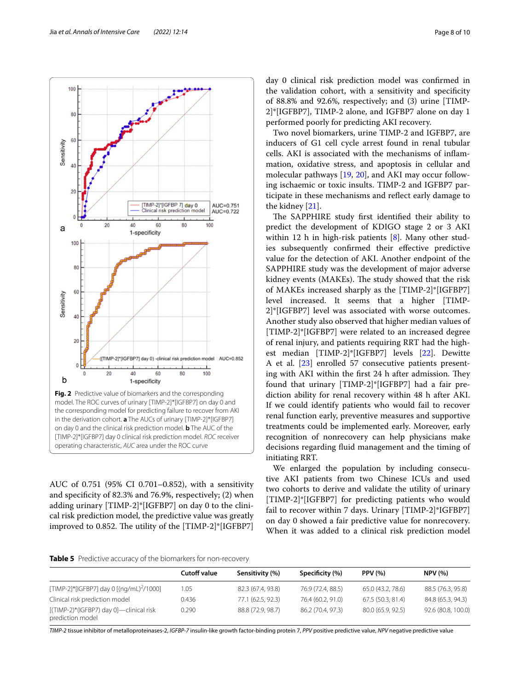

<span id="page-7-0"></span>AUC of 0.751 (95% CI 0.701–0.852), with a sensitivity and specifcity of 82.3% and 76.9%, respectively; (2) when adding urinary [TIMP-2]\*[IGFBP7] on day 0 to the clinical risk prediction model, the predictive value was greatly improved to 0.852. The utility of the  $[TIMP-2]^*[IGFBP7]$ 

day 0 clinical risk prediction model was confrmed in the validation cohort, with a sensitivity and specifcity of 88.8% and 92.6%, respectively; and (3) urine [TIMP-2]\*[IGFBP7], TIMP-2 alone, and IGFBP7 alone on day 1 performed poorly for predicting AKI recovery.

Two novel biomarkers, urine TIMP-2 and IGFBP7, are inducers of G1 cell cycle arrest found in renal tubular cells. AKI is associated with the mechanisms of infammation, oxidative stress, and apoptosis in cellular and molecular pathways [[19,](#page-9-17) [20](#page-9-18)], and AKI may occur following ischaemic or toxic insults. TIMP-2 and IGFBP7 participate in these mechanisms and refect early damage to the kidney [\[21\]](#page-9-19).

The SAPPHIRE study first identified their ability to predict the development of KDIGO stage 2 or 3 AKI within 12 h in high-risk patients [\[8](#page-9-5)]. Many other studies subsequently confrmed their efective predictive value for the detection of AKI. Another endpoint of the SAPPHIRE study was the development of major adverse kidney events (MAKEs). The study showed that the risk of MAKEs increased sharply as the [TIMP-2]\*[IGFBP7] level increased. It seems that a higher [TIMP-2]\*[IGFBP7] level was associated with worse outcomes. Another study also observed that higher median values of [TIMP-2]\*[IGFBP7] were related to an increased degree of renal injury, and patients requiring RRT had the highest median [TIMP-2]\*[IGFBP7] levels [[22](#page-9-20)]. Dewitte A et al. [\[23](#page-9-21)] enrolled 57 consecutive patients presenting with AKI within the first 24 h after admission. They found that urinary [TIMP-2]\*[IGFBP7] had a fair prediction ability for renal recovery within 48 h after AKI. If we could identify patients who would fail to recover renal function early, preventive measures and supportive treatments could be implemented early. Moreover, early recognition of nonrecovery can help physicians make decisions regarding fuid management and the timing of initiating RRT.

We enlarged the population by including consecutive AKI patients from two Chinese ICUs and used two cohorts to derive and validate the utility of urinary [TIMP-2]\*[IGFBP7] for predicting patients who would fail to recover within 7 days. Urinary [TIMP-2]\*IGFBP7] on day 0 showed a fair predictive value for nonrecovery. When it was added to a clinical risk prediction model

<span id="page-7-1"></span>**Table 5** Predictive accuracy of the biomarkers for non-recovery

|                                                             | <b>Cutoff value</b> | Sensitivity (%)   | Specificity (%)   | <b>PPV</b> (%)    | <b>NPV (%)</b>     |  |
|-------------------------------------------------------------|---------------------|-------------------|-------------------|-------------------|--------------------|--|
| [TIMP-2]*[IGFBP7] day 0 [(ng/mL) <sup>2</sup> /1000]        | 1.05                | 82.3 (67.4, 93.8) | 76.9 (72.4, 88.5) | 65.0 (43.2, 78.6) | 88.5 (76.3, 95.8)  |  |
| Clinical risk prediction model                              | 0.436               | 77.1 (62.5, 92.3) | 76.4 (60.2, 91.0) | 67.5 (50.3, 81.4) | 84.8 (65.3, 94.3)  |  |
| [(TIMP-2)*(IGFBP7) day 0]—clinical risk<br>prediction model | 0.290               | 88.8 (72.9, 98.7) | 86.2 (70.4, 97.3) | 80.0 (65.9, 92.5) | 92.6 (80.8, 100.0) |  |

*TIMP-2* tissue inhibitor of metalloproteinases-2, *IGFBP-7* insulin-like growth factor-binding protein 7, *PPV* positive predictive value, *NPV* negative predictive value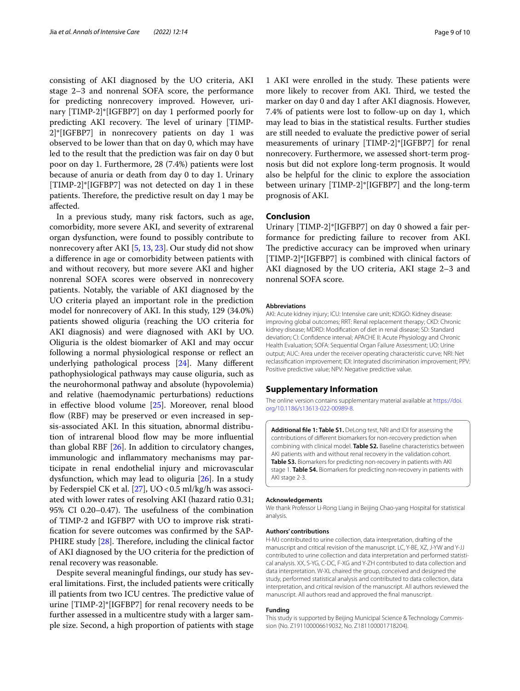consisting of AKI diagnosed by the UO criteria, AKI stage 2–3 and nonrenal SOFA score, the performance for predicting nonrecovery improved. However, urinary [TIMP-2]\*[IGFBP7] on day 1 performed poorly for predicting AKI recovery. The level of urinary [TIMP-2]\*[IGFBP7] in nonrecovery patients on day 1 was observed to be lower than that on day 0, which may have led to the result that the prediction was fair on day 0 but poor on day 1. Furthermore, 28 (7.4%) patients were lost because of anuria or death from day 0 to day 1. Urinary [TIMP-2]\*[IGFBP7] was not detected on day 1 in these patients. Therefore, the predictive result on day 1 may be afected.

In a previous study, many risk factors, such as age, comorbidity, more severe AKI, and severity of extrarenal organ dysfunction, were found to possibly contribute to nonrecovery after AKI [[5,](#page-9-6) [13,](#page-9-11) [23](#page-9-21)]. Our study did not show a diference in age or comorbidity between patients with and without recovery, but more severe AKI and higher nonrenal SOFA scores were observed in nonrecovery patients. Notably, the variable of AKI diagnosed by the UO criteria played an important role in the prediction model for nonrecovery of AKI. In this study, 129 (34.0%) patients showed oliguria (reaching the UO criteria for AKI diagnosis) and were diagnosed with AKI by UO. Oliguria is the oldest biomarker of AKI and may occur following a normal physiological response or refect an underlying pathological process [\[24](#page-9-22)]. Many diferent pathophysiological pathways may cause oliguria, such as the neurohormonal pathway and absolute (hypovolemia) and relative (haemodynamic perturbations) reductions in efective blood volume [[25\]](#page-9-23). Moreover, renal blood flow (RBF) may be preserved or even increased in sepsis-associated AKI. In this situation, abnormal distribution of intrarenal blood flow may be more influential than global RBF [\[26](#page-9-24)]. In addition to circulatory changes, immunologic and infammatory mechanisms may participate in renal endothelial injury and microvascular dysfunction, which may lead to oliguria [[26](#page-9-24)]. In a study by Federspiel CK et al. [[27\]](#page-9-25),  $UO < 0.5$  ml/kg/h was associated with lower rates of resolving AKI (hazard ratio 0.31; 95% CI 0.20–0.47). The usefulness of the combination of TIMP-2 and IGFBP7 with UO to improve risk stratifcation for severe outcomes was confrmed by the SAP-PHIRE study  $[28]$  $[28]$ . Therefore, including the clinical factor of AKI diagnosed by the UO criteria for the prediction of renal recovery was reasonable.

Despite several meaningful fndings, our study has several limitations. First, the included patients were critically ill patients from two ICU centres. The predictive value of urine [TIMP-2]\*[IGFBP7] for renal recovery needs to be further assessed in a multicentre study with a larger sample size. Second, a high proportion of patients with stage

1 AKI were enrolled in the study. These patients were more likely to recover from AKI. Third, we tested the marker on day 0 and day 1 after AKI diagnosis. However, 7.4% of patients were lost to follow-up on day 1, which may lead to bias in the statistical results. Further studies are still needed to evaluate the predictive power of serial measurements of urinary [TIMP-2]\*[IGFBP7] for renal nonrecovery. Furthermore, we assessed short-term prognosis but did not explore long-term prognosis. It would also be helpful for the clinic to explore the association between urinary [TIMP-2]\*[IGFBP7] and the long-term prognosis of AKI.

#### **Conclusion**

Urinary [TIMP-2]\*[IGFBP7] on day 0 showed a fair performance for predicting failure to recover from AKI. The predictive accuracy can be improved when urinary [TIMP-2]\*[IGFBP7] is combined with clinical factors of AKI diagnosed by the UO criteria, AKI stage 2–3 and nonrenal SOFA score.

#### **Abbreviations**

AKI: Acute kidney injury; ICU: Intensive care unit; KDIGO: Kidney disease: improving global outcomes; RRT: Renal replacement therapy; CKD: Chronic kidney disease; MDRD: Modifcation of diet in renal disease; SD: Standard deviation; CI: Confdence interval; APACHE II: Acute Physiology and Chronic Health Evaluation; SOFA: Sequential Organ Failure Assessment; UO: Urine output; AUC: Area under the receiver operating characteristic curve; NRI: Net reclassifcation improvement; IDI: Integrated discrimination improvement; PPV: Positive predictive value; NPV: Negative predictive value.

#### **Supplementary Information**

The online version contains supplementary material available at [https://doi.](https://doi.org/10.1186/s13613-022-00989-8) [org/10.1186/s13613-022-00989-8](https://doi.org/10.1186/s13613-022-00989-8).

<span id="page-8-0"></span>**Additional fle 1: Table S1.** DeLong test, NRI and IDI for assessing the contributions of diferent biomarkers for non-recovery prediction when combining with clinical model. **Table S2.** Baseline characteristics between AKI patients with and without renal recovery in the validation cohort. **Table S3.** Biomarkers for predicting non-recovery in patients with AKI stage 1. **Table S4.** Biomarkers for predicting non-recovery in patients with AKI stage 2-3.

#### **Acknowledgements**

We thank Professor Li-Rong Liang in Beijing Chao-yang Hospital for statistical analysis.

#### **Authors' contributions**

H-MJ contributed to urine collection, data interpretation, drafting of the manuscript and critical revision of the manuscript. LC, Y-BE, XZ, J-YW and Y-JJ contributed to urine collection and data interpretation and performed statistical analysis. XX, S-YG, C-DC, F-XG and Y-ZH contributed to data collection and data interpretation. W-XL chaired the group, conceived and designed the study, performed statistical analysis and contributed to data collection, data interpretation, and critical revision of the manuscript. All authors reviewed the manuscript. All authors read and approved the fnal manuscript.

#### **Funding**

This study is supported by Beijing Municipal Science & Technology Commission (No. Z191100006619032, No. Z181100001718204).